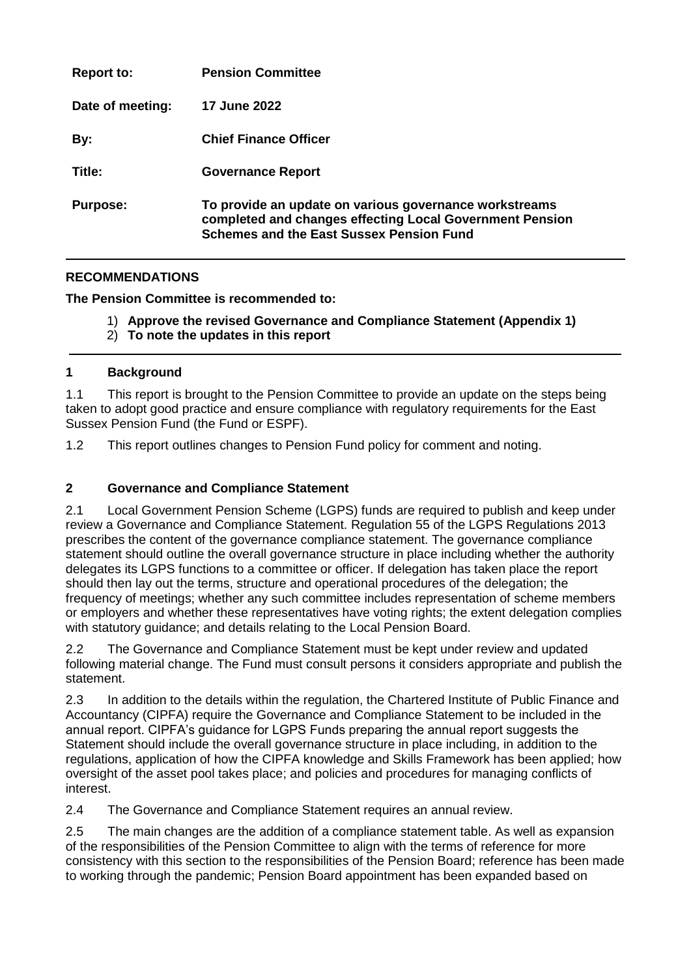| <b>Report to:</b> | <b>Pension Committee</b>                                                                                                                                              |
|-------------------|-----------------------------------------------------------------------------------------------------------------------------------------------------------------------|
| Date of meeting:  | <b>17 June 2022</b>                                                                                                                                                   |
| By:               | <b>Chief Finance Officer</b>                                                                                                                                          |
| Title:            | <b>Governance Report</b>                                                                                                                                              |
| <b>Purpose:</b>   | To provide an update on various governance workstreams<br>completed and changes effecting Local Government Pension<br><b>Schemes and the East Sussex Pension Fund</b> |

## **RECOMMENDATIONS**

**The Pension Committee is recommended to:**

- 1) **Approve the revised Governance and Compliance Statement (Appendix 1)**
- 2) **To note the updates in this report**

#### **1 Background**

1.1 This report is brought to the Pension Committee to provide an update on the steps being taken to adopt good practice and ensure compliance with regulatory requirements for the East Sussex Pension Fund (the Fund or ESPF).

1.2 This report outlines changes to Pension Fund policy for comment and noting.

### **2 Governance and Compliance Statement**

2.1 Local Government Pension Scheme (LGPS) funds are required to publish and keep under review a Governance and Compliance Statement. Regulation 55 of the LGPS Regulations 2013 prescribes the content of the governance compliance statement. The governance compliance statement should outline the overall governance structure in place including whether the authority delegates its LGPS functions to a committee or officer. If delegation has taken place the report should then lay out the terms, structure and operational procedures of the delegation; the frequency of meetings; whether any such committee includes representation of scheme members or employers and whether these representatives have voting rights; the extent delegation complies with statutory guidance; and details relating to the Local Pension Board.

2.2 The Governance and Compliance Statement must be kept under review and updated following material change. The Fund must consult persons it considers appropriate and publish the statement.

2.3 In addition to the details within the regulation, the Chartered Institute of Public Finance and Accountancy (CIPFA) require the Governance and Compliance Statement to be included in the annual report. CIPFA's guidance for LGPS Funds preparing the annual report suggests the Statement should include the overall governance structure in place including, in addition to the regulations, application of how the CIPFA knowledge and Skills Framework has been applied; how oversight of the asset pool takes place; and policies and procedures for managing conflicts of interest.

2.4 The Governance and Compliance Statement requires an annual review.

2.5 The main changes are the addition of a compliance statement table. As well as expansion of the responsibilities of the Pension Committee to align with the terms of reference for more consistency with this section to the responsibilities of the Pension Board; reference has been made to working through the pandemic; Pension Board appointment has been expanded based on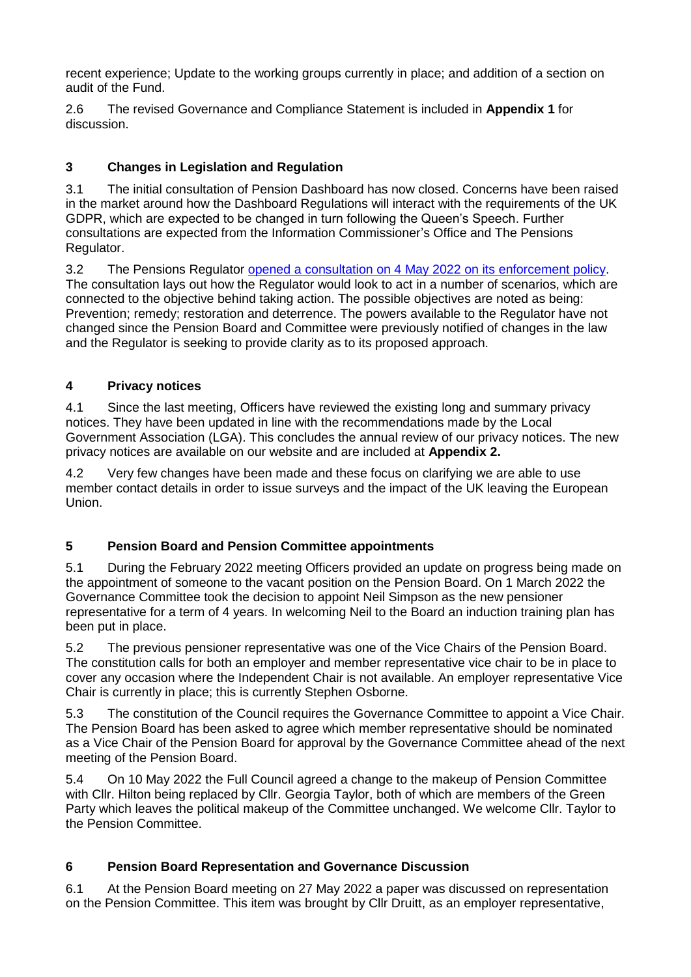recent experience; Update to the working groups currently in place; and addition of a section on audit of the Fund.

2.6 The revised Governance and Compliance Statement is included in **Appendix 1** for discussion.

# **3 Changes in Legislation and Regulation**

3.1 The initial consultation of Pension Dashboard has now closed. Concerns have been raised in the market around how the Dashboard Regulations will interact with the requirements of the UK GDPR, which are expected to be changed in turn following the Queen's Speech. Further consultations are expected from the Information Commissioner's Office and The Pensions Regulator.

3.2 The Pensions Regulator [opened a consultation on 4 May 2022 on its enforcement policy.](https://www.thepensionsregulator.gov.uk/en/document-library/consultations/enforcement-and-prosecution-policies-consultation) The consultation lays out how the Regulator would look to act in a number of scenarios, which are connected to the objective behind taking action. The possible objectives are noted as being: Prevention; remedy; restoration and deterrence. The powers available to the Regulator have not changed since the Pension Board and Committee were previously notified of changes in the law and the Regulator is seeking to provide clarity as to its proposed approach.

### **4 Privacy notices**

4.1 Since the last meeting, Officers have reviewed the existing long and summary privacy notices. They have been updated in line with the recommendations made by the Local Government Association (LGA). This concludes the annual review of our privacy notices. The new privacy notices are available on our website and are included at **Appendix 2.**

4.2 Very few changes have been made and these focus on clarifying we are able to use member contact details in order to issue surveys and the impact of the UK leaving the European Union.

### **5 Pension Board and Pension Committee appointments**

5.1 During the February 2022 meeting Officers provided an update on progress being made on the appointment of someone to the vacant position on the Pension Board. On 1 March 2022 the Governance Committee took the decision to appoint Neil Simpson as the new pensioner representative for a term of 4 years. In welcoming Neil to the Board an induction training plan has been put in place.

5.2 The previous pensioner representative was one of the Vice Chairs of the Pension Board. The constitution calls for both an employer and member representative vice chair to be in place to cover any occasion where the Independent Chair is not available. An employer representative Vice Chair is currently in place; this is currently Stephen Osborne.

5.3 The constitution of the Council requires the Governance Committee to appoint a Vice Chair. The Pension Board has been asked to agree which member representative should be nominated as a Vice Chair of the Pension Board for approval by the Governance Committee ahead of the next meeting of the Pension Board.

5.4 On 10 May 2022 the Full Council agreed a change to the makeup of Pension Committee with Cllr. Hilton being replaced by Cllr. Georgia Taylor, both of which are members of the Green Party which leaves the political makeup of the Committee unchanged. We welcome Cllr. Taylor to the Pension Committee.

# **6 Pension Board Representation and Governance Discussion**

6.1 At the Pension Board meeting on 27 May 2022 a paper was discussed on representation on the Pension Committee. This item was brought by Cllr Druitt, as an employer representative,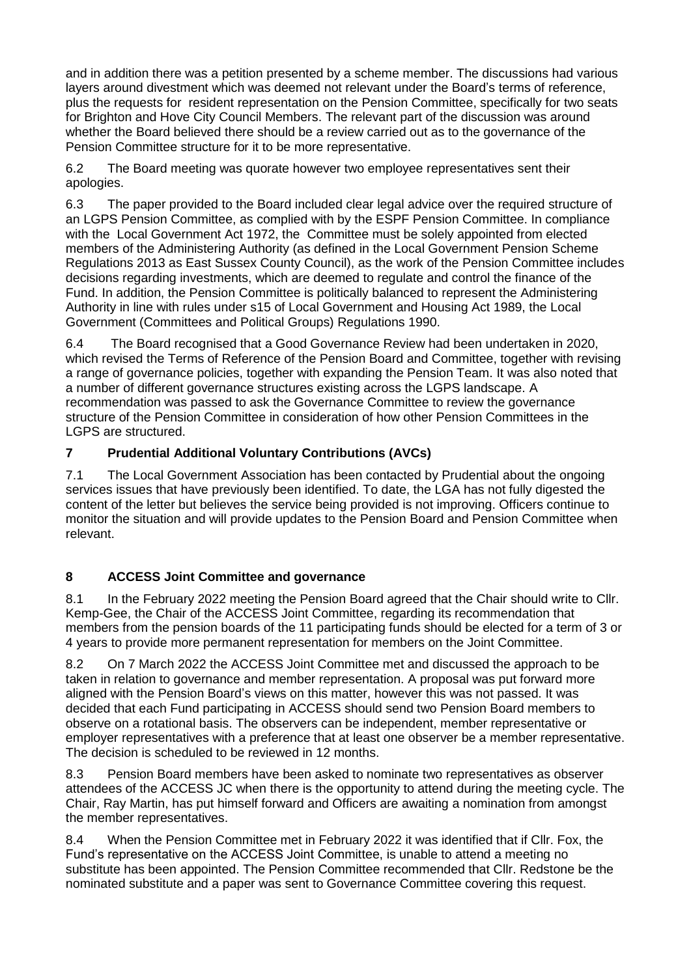and in addition there was a petition presented by a scheme member. The discussions had various layers around divestment which was deemed not relevant under the Board's terms of reference, plus the requests for resident representation on the Pension Committee, specifically for two seats for Brighton and Hove City Council Members. The relevant part of the discussion was around whether the Board believed there should be a review carried out as to the governance of the Pension Committee structure for it to be more representative.

6.2 The Board meeting was quorate however two employee representatives sent their apologies.

6.3 The paper provided to the Board included clear legal advice over the required structure of an LGPS Pension Committee, as complied with by the ESPF Pension Committee. In compliance with the Local Government Act 1972, the Committee must be solely appointed from elected members of the Administering Authority (as defined in the Local Government Pension Scheme Regulations 2013 as East Sussex County Council), as the work of the Pension Committee includes decisions regarding investments, which are deemed to regulate and control the finance of the Fund. In addition, the Pension Committee is politically balanced to represent the Administering Authority in line with rules under s15 of Local Government and Housing Act 1989, the Local Government (Committees and Political Groups) Regulations 1990.

6.4 The Board recognised that a Good Governance Review had been undertaken in 2020, which revised the Terms of Reference of the Pension Board and Committee, together with revising a range of governance policies, together with expanding the Pension Team. It was also noted that a number of different governance structures existing across the LGPS landscape. A recommendation was passed to ask the Governance Committee to review the governance structure of the Pension Committee in consideration of how other Pension Committees in the LGPS are structured.

# **7 Prudential Additional Voluntary Contributions (AVCs)**

7.1 The Local Government Association has been contacted by Prudential about the ongoing services issues that have previously been identified. To date, the LGA has not fully digested the content of the letter but believes the service being provided is not improving. Officers continue to monitor the situation and will provide updates to the Pension Board and Pension Committee when relevant.

### **8 ACCESS Joint Committee and governance**

8.1 In the February 2022 meeting the Pension Board agreed that the Chair should write to Cllr. Kemp-Gee, the Chair of the ACCESS Joint Committee, regarding its recommendation that members from the pension boards of the 11 participating funds should be elected for a term of 3 or 4 years to provide more permanent representation for members on the Joint Committee.

8.2 On 7 March 2022 the ACCESS Joint Committee met and discussed the approach to be taken in relation to governance and member representation. A proposal was put forward more aligned with the Pension Board's views on this matter, however this was not passed. It was decided that each Fund participating in ACCESS should send two Pension Board members to observe on a rotational basis. The observers can be independent, member representative or employer representatives with a preference that at least one observer be a member representative. The decision is scheduled to be reviewed in 12 months.

8.3 Pension Board members have been asked to nominate two representatives as observer attendees of the ACCESS JC when there is the opportunity to attend during the meeting cycle. The Chair, Ray Martin, has put himself forward and Officers are awaiting a nomination from amongst the member representatives.

8.4 When the Pension Committee met in February 2022 it was identified that if Cllr. Fox, the Fund's representative on the ACCESS Joint Committee, is unable to attend a meeting no substitute has been appointed. The Pension Committee recommended that Cllr. Redstone be the nominated substitute and a paper was sent to Governance Committee covering this request.